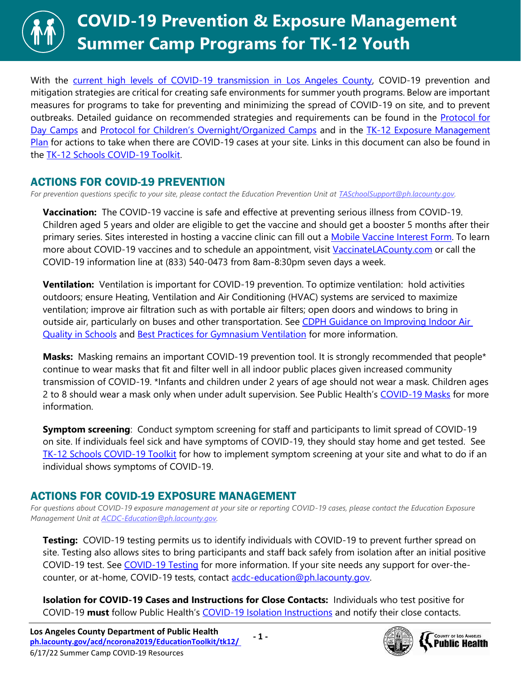With the [current high levels of COVID-19 transmission in Los Angeles County,](http://publichealth.lacounty.gov/media/Coronavirus/data/post-surge-dashboard.htm) COVID-19 prevention and mitigation strategies are critical for creating safe environments for summer youth programs. Below are important measures for programs to take for preventing and minimizing the spread of COVID-19 on site, and to prevent outbreaks. Detailed guidance on recommended strategies and requirements can be found in the [Protocol for](http://www.publichealth.lacounty.gov/media/Coronavirus/docs/protocols/Reopening_DayCamps.pdf)  [Day Camps](http://www.publichealth.lacounty.gov/media/Coronavirus/docs/protocols/Reopening_DayCamps.pdf) and [Protocol for Children's Overnight/Organized Camps](http://publichealth.lacounty.gov/media/coronavirus/docs/protocols/Reopening_OvernightCamps.pdf) and in the TK-12 Exposure Management [Plan](http://publichealth.lacounty.gov/media/coronavirus/docs/protocols/ExposureManagementPlan_K12Schools.pdf) for actions to take when there are COVID-19 cases at your site. Links in this document can also be found in the [TK-12 Schools COVID-19 Toolkit.](http://ph.lacounty.gov/acd/ncorona2019/EducationToolkit/tk12/)

## ACTIONS FOR COVID-19 PREVENTION

*For prevention questions specific to your site, please contact the Education Prevention Unit at [TASchoolSupport@ph.lacounty.gov.](mailto:TASchoolSupport@ph.lacounty.gov)*

**Vaccination:** The COVID-19 vaccine is safe and effective at preventing serious illness from COVID-19. Children aged 5 years and older are eligible to get the vaccine and should get a booster 5 months after their primary series. Sites interested in hosting a vaccine clinic can fill out a [Mobile Vaccine Interest Form.](https://forms.office.com/Pages/ResponsePage.aspx?id=SHJZBzjqG0WKvqY47dusgRhkHSYxz5JKiyxHrBS9oFNURDVOVjNMTlFOTDMzTVBESktZU1g5VTExOS4u) To learn more about COVID-19 vaccines and to schedule an appointment, visit [VaccinateLACounty.com](http://www.publichealth.lacounty.gov/media/Coronavirus/vaccine/index.htm) or call the COVID-19 information line at (833) 540-0473 from 8am-8:30pm seven days a week.

**Ventilation:** Ventilation is important for COVID-19 prevention. To optimize ventilation: hold activities outdoors; ensure Heating, Ventilation and Air Conditioning (HVAC) systems are serviced to maximize ventilation; improve air filtration such as with portable air filters; open doors and windows to bring in outside air, particularly on buses and other transportation. See CDPH Guidance on Improving Indoor Air [Quality in Schools](https://www.cdph.ca.gov/Programs/CID/DCDC/Pages/COVID-19/COVID-19-and-Improving-Indoor-Air-Quality-in-Schools.aspx) and [Best Practices for Gymnasium Ventilation](http://publichealth.lacounty.gov/acd/ncorona2019/docs/GymVentilationGuidance.pdf) for more information.

**Masks:** Masking remains an important COVID-19 prevention tool. It is strongly recommended that people\* continue to wear masks that fit and filter well in all indoor public places given increased community transmission of COVID-19. \*Infants and children under 2 years of age should not wear a mask. Children ages 2 to 8 should wear a mask only when under adult supervision. See Public Health's [COVID-19 Masks](http://publichealth.lacounty.gov/acd/ncorona2019/masks/) for more information.

**Symptom screening**: Conduct symptom screening for staff and participants to limit spread of COVID-19 on site. If individuals feel sick and have symptoms of COVID-19, they should stay home and get tested. See [TK-12 Schools COVID-19 Toolkit](http://ph.lacounty.gov/acd/ncorona2019/EducationToolkit/tk12/#screening) for how to implement symptom screening at your site and what to do if an individual shows symptoms of COVID-19.

## ACTIONS FOR COVID-19 EXPOSURE MANAGEMENT

*For questions about COVID-19 exposure management at your site or reporting COVID-19 cases, please contact the Education Exposure Management Unit at [ACDC-Education@ph.lacounty.gov.](mailto:ACDC-Education@ph.lacounty.gov)*

**Testing:** COVID-19 testing permits us to identify individuals with COVID-19 to prevent further spread on site. Testing also allows sites to bring participants and staff back safely from isolation after an initial positive COVID-19 test. See [COVID-19 Testing](http://publichealth.lacounty.gov/acd/ncorona2019/covidtests/) for more information. If your site needs any support for over-thecounter, or at-home, COVID-19 tests, contact [acdc-education@ph.lacounty.gov.](mailto:acdc-education@ph.lacounty.gov) 

**Isolation for COVID-19 Cases and Instructions for Close Contacts:** Individuals who test positive for COVID-19 **must** follow Public Health's [COVID-19 Isolation Instructions](http://publichealth.lacounty.gov/acd/ncorona2019/covidisolation/) and notify their close contacts.